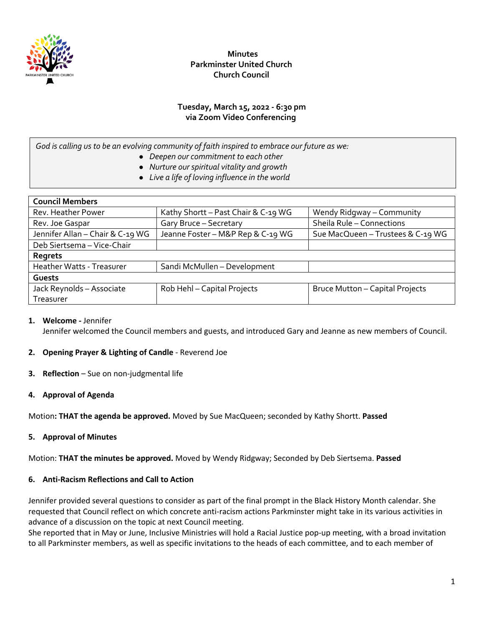

## **Tuesday, March 15, 2022 - 6:30 pm via Zoom Video Conferencing**

*God is calling us to be an evolving community of faith inspired to embrace our future as we:*

- *Deepen our commitment to each other*
- *Nurture our spiritual vitality and growth*
- *Live a life of loving influence in the world*

| <b>Council Members</b>           |                                     |                                        |  |
|----------------------------------|-------------------------------------|----------------------------------------|--|
| Rev. Heather Power               | Kathy Shortt - Past Chair & C-19 WG | Wendy Ridgway - Community              |  |
| Rev. Joe Gaspar                  | Gary Bruce - Secretary              | Sheila Rule - Connections              |  |
| Jennifer Allan - Chair & C-19 WG | Jeanne Foster - M&P Rep & C-19 WG   | Sue MacQueen - Trustees & C-19 WG      |  |
| Deb Siertsema - Vice-Chair       |                                     |                                        |  |
| <b>Regrets</b>                   |                                     |                                        |  |
| Heather Watts - Treasurer        | Sandi McMullen - Development        |                                        |  |
| <b>Guests</b>                    |                                     |                                        |  |
| Jack Reynolds - Associate        | Rob Hehl - Capital Projects         | <b>Bruce Mutton - Capital Projects</b> |  |
| Treasurer                        |                                     |                                        |  |

#### **1. Welcome -** Jennifer

Jennifer welcomed the Council members and guests, and introduced Gary and Jeanne as new members of Council.

#### **2. Opening Prayer & Lighting of Candle** - Reverend Joe

**3. Reflection** – Sue on non-judgmental life

#### **4. Approval of Agenda**

Motion**: THAT the agenda be approved.** Moved by Sue MacQueen; seconded by Kathy Shortt. **Passed**

#### **5. Approval of Minutes**

Motion: **THAT the minutes be approved.** Moved by Wendy Ridgway; Seconded by Deb Siertsema. **Passed**

#### **6. Anti-Racism Reflections and Call to Action**

Jennifer provided several questions to consider as part of the final prompt in the Black History Month calendar. She requested that Council reflect on which concrete anti-racism actions Parkminster might take in its various activities in advance of a discussion on the topic at next Council meeting.

She reported that in May or June, Inclusive Ministries will hold a Racial Justice pop-up meeting, with a broad invitation to all Parkminster members, as well as specific invitations to the heads of each committee, and to each member of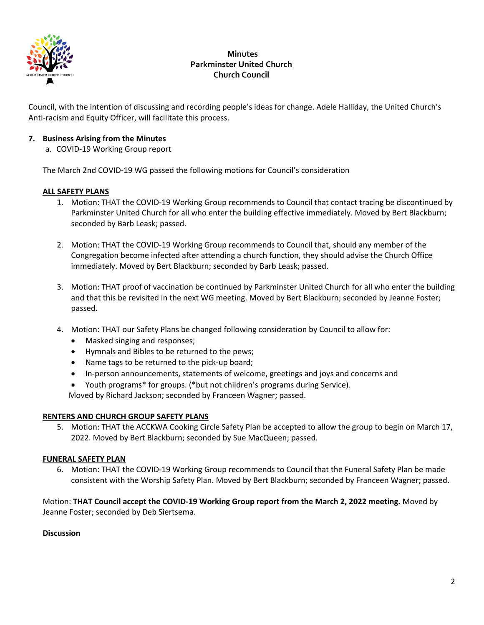

Council, with the intention of discussing and recording people's ideas for change. Adele Halliday, the United Church's Anti-racism and Equity Officer, will facilitate this process.

### **7. Business Arising from the Minutes**

a. COVID-19 Working Group report

The March 2nd COVID-19 WG passed the following motions for Council's consideration

### **ALL SAFETY PLANS**

- 1. Motion: THAT the COVID-19 Working Group recommends to Council that contact tracing be discontinued by Parkminster United Church for all who enter the building effective immediately. Moved by Bert Blackburn; seconded by Barb Leask; passed.
- 2. Motion: THAT the COVID-19 Working Group recommends to Council that, should any member of the Congregation become infected after attending a church function, they should advise the Church Office immediately. Moved by Bert Blackburn; seconded by Barb Leask; passed.
- 3. Motion: THAT proof of vaccination be continued by Parkminster United Church for all who enter the building and that this be revisited in the next WG meeting. Moved by Bert Blackburn; seconded by Jeanne Foster; passed.
- 4. Motion: THAT our Safety Plans be changed following consideration by Council to allow for:
	- Masked singing and responses;
	- Hymnals and Bibles to be returned to the pews;
	- Name tags to be returned to the pick-up board;
	- In-person announcements, statements of welcome, greetings and joys and concerns and
	- Youth programs\* for groups. (\*but not children's programs during Service).

Moved by Richard Jackson; seconded by Franceen Wagner; passed.

#### **RENTERS AND CHURCH GROUP SAFETY PLANS**

5. Motion: THAT the ACCKWA Cooking Circle Safety Plan be accepted to allow the group to begin on March 17, 2022. Moved by Bert Blackburn; seconded by Sue MacQueen; passed.

### **FUNERAL SAFETY PLAN**

6. Motion: THAT the COVID-19 Working Group recommends to Council that the Funeral Safety Plan be made consistent with the Worship Safety Plan. Moved by Bert Blackburn; seconded by Franceen Wagner; passed.

Motion: **THAT Council accept the COVID-19 Working Group report from the March 2, 2022 meeting.** Moved by Jeanne Foster; seconded by Deb Siertsema.

#### **Discussion**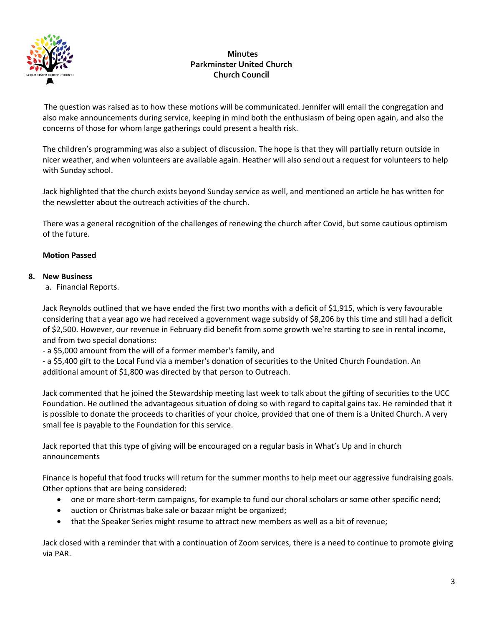

The question was raised as to how these motions will be communicated. Jennifer will email the congregation and also make announcements during service, keeping in mind both the enthusiasm of being open again, and also the concerns of those for whom large gatherings could present a health risk.

The children's programming was also a subject of discussion. The hope is that they will partially return outside in nicer weather, and when volunteers are available again. Heather will also send out a request for volunteers to help with Sunday school.

Jack highlighted that the church exists beyond Sunday service as well, and mentioned an article he has written for the newsletter about the outreach activities of the church.

There was a general recognition of the challenges of renewing the church after Covid, but some cautious optimism of the future.

### **Motion Passed**

#### **8. New Business**

a. Financial Reports.

Jack Reynolds outlined that we have ended the first two months with a deficit of \$1,915, which is very favourable considering that a year ago we had received a government wage subsidy of \$8,206 by this time and still had a deficit of \$2,500. However, our revenue in February did benefit from some growth we're starting to see in rental income, and from two special donations:

- a \$5,000 amount from the will of a former member's family, and

- a \$5,400 gift to the Local Fund via a member's donation of securities to the United Church Foundation. An additional amount of \$1,800 was directed by that person to Outreach.

Jack commented that he joined the Stewardship meeting last week to talk about the gifting of securities to the UCC Foundation. He outlined the advantageous situation of doing so with regard to capital gains tax. He reminded that it is possible to donate the proceeds to charities of your choice, provided that one of them is a United Church. A very small fee is payable to the Foundation for this service.

Jack reported that this type of giving will be encouraged on a regular basis in What's Up and in church announcements

Finance is hopeful that food trucks will return for the summer months to help meet our aggressive fundraising goals. Other options that are being considered:

- one or more short-term campaigns, for example to fund our choral scholars or some other specific need;
- auction or Christmas bake sale or bazaar might be organized;
- that the Speaker Series might resume to attract new members as well as a bit of revenue;

Jack closed with a reminder that with a continuation of Zoom services, there is a need to continue to promote giving via PAR.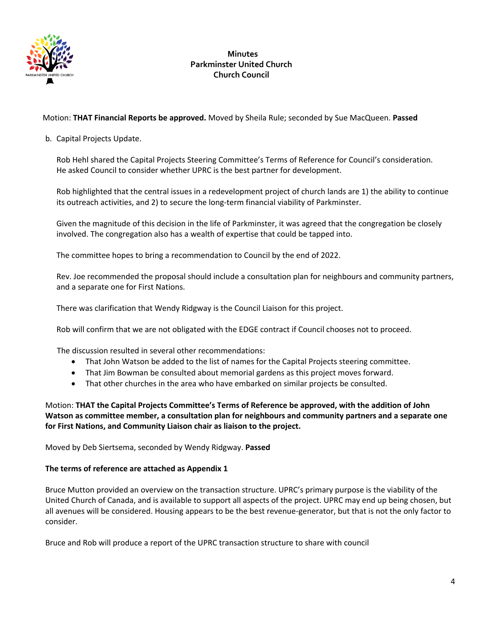

### Motion: **THAT Financial Reports be approved.** Moved by Sheila Rule; seconded by Sue MacQueen. **Passed**

#### b. Capital Projects Update.

Rob Hehl shared the Capital Projects Steering Committee's Terms of Reference for Council's consideration. He asked Council to consider whether UPRC is the best partner for development.

Rob highlighted that the central issues in a redevelopment project of church lands are 1) the ability to continue its outreach activities, and 2) to secure the long-term financial viability of Parkminster.

Given the magnitude of this decision in the life of Parkminster, it was agreed that the congregation be closely involved. The congregation also has a wealth of expertise that could be tapped into.

The committee hopes to bring a recommendation to Council by the end of 2022.

Rev. Joe recommended the proposal should include a consultation plan for neighbours and community partners, and a separate one for First Nations.

There was clarification that Wendy Ridgway is the Council Liaison for this project.

Rob will confirm that we are not obligated with the EDGE contract if Council chooses not to proceed.

The discussion resulted in several other recommendations:

- That John Watson be added to the list of names for the Capital Projects steering committee.
- That Jim Bowman be consulted about memorial gardens as this project moves forward.
- That other churches in the area who have embarked on similar projects be consulted.

Motion: **THAT the Capital Projects Committee's Terms of Reference be approved, with the addition of John Watson as committee member, a consultation plan for neighbours and community partners and a separate one for First Nations, and Community Liaison chair as liaison to the project.**

Moved by Deb Siertsema, seconded by Wendy Ridgway. **Passed**

#### **The terms of reference are attached as Appendix 1**

Bruce Mutton provided an overview on the transaction structure. UPRC's primary purpose is the viability of the United Church of Canada, and is available to support all aspects of the project. UPRC may end up being chosen, but all avenues will be considered. Housing appears to be the best revenue-generator, but that is not the only factor to consider.

Bruce and Rob will produce a report of the UPRC transaction structure to share with council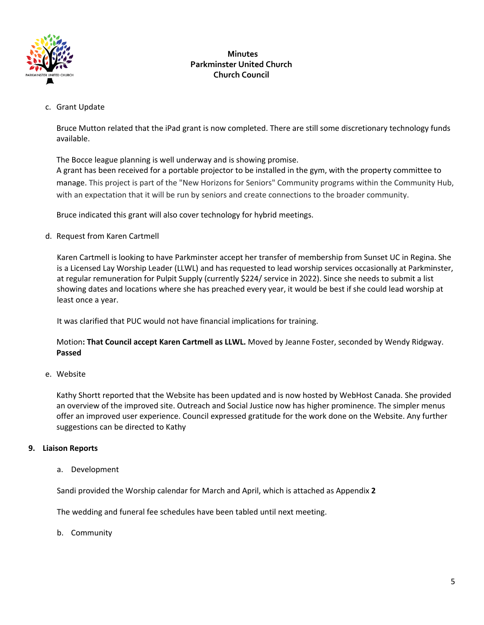

### c. Grant Update

Bruce Mutton related that the iPad grant is now completed. There are still some discretionary technology funds available.

The Bocce league planning is well underway and is showing promise.

A grant has been received for a portable projector to be installed in the gym, with the property committee to manage. This project is part of the "New Horizons for Seniors" Community programs within the Community Hub, with an expectation that it will be run by seniors and create connections to the broader community.

Bruce indicated this grant will also cover technology for hybrid meetings.

d. Request from Karen Cartmell

Karen Cartmell is looking to have Parkminster accept her transfer of membership from Sunset UC in Regina. She is a Licensed Lay Worship Leader (LLWL) and has requested to lead worship services occasionally at Parkminster, at regular remuneration for Pulpit Supply (currently \$224/ service in 2022). Since she needs to submit a list showing dates and locations where she has preached every year, it would be best if she could lead worship at least once a year.

It was clarified that PUC would not have financial implications for training.

Motion**: That Council accept Karen Cartmell as LLWL.** Moved by Jeanne Foster, seconded by Wendy Ridgway. **Passed**

e. Website

Kathy Shortt reported that the Website has been updated and is now hosted by WebHost Canada. She provided an overview of the improved site. Outreach and Social Justice now has higher prominence. The simpler menus offer an improved user experience. Council expressed gratitude for the work done on the Website. Any further suggestions can be directed to Kathy

### **9. Liaison Reports**

a. Development

Sandi provided the Worship calendar for March and April, which is attached as Appendix **2**

The wedding and funeral fee schedules have been tabled until next meeting.

b. Community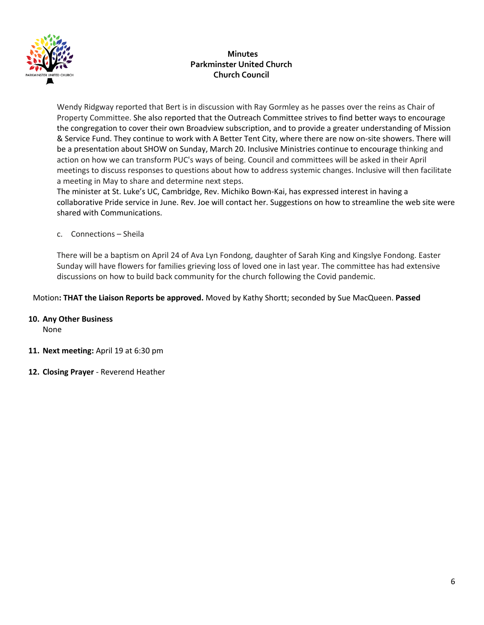

Wendy Ridgway reported that Bert is in discussion with Ray Gormley as he passes over the reins as Chair of Property Committee. She also reported that the Outreach Committee strives to find better ways to encourage the congregation to cover their own Broadview subscription, and to provide a greater understanding of Mission & Service Fund. They continue to work with A Better Tent City, where there are now on-site showers. There will be a presentation about SHOW on Sunday, March 20. Inclusive Ministries continue to encourage thinking and action on how we can transform PUC's ways of being. Council and committees will be asked in their April meetings to discuss responses to questions about how to address systemic changes. Inclusive will then facilitate a meeting in May to share and determine next steps.

The minister at St. Luke's UC, Cambridge, Rev. Michiko Bown-Kai, has expressed interest in having a collaborative Pride service in June. Rev. Joe will contact her. Suggestions on how to streamline the web site were shared with Communications.

c. Connections – Sheila

There will be a baptism on April 24 of Ava Lyn Fondong, daughter of Sarah King and Kingslye Fondong. Easter Sunday will have flowers for families grieving loss of loved one in last year. The committee has had extensive discussions on how to build back community for the church following the Covid pandemic.

Motion**: THAT the Liaison Reports be approved.** Moved by Kathy Shortt; seconded by Sue MacQueen. **Passed**

#### **10. Any Other Business**

None

- **11. Next meeting:** April 19 at 6:30 pm
- **12. Closing Prayer**  Reverend Heather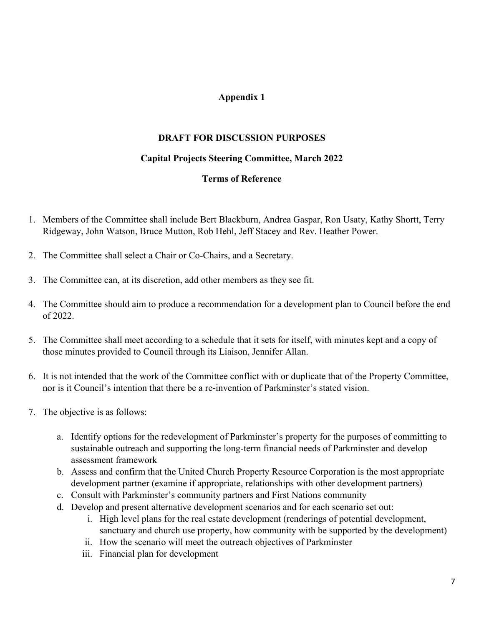# **Appendix 1**

## **DRAFT FOR DISCUSSION PURPOSES**

## **Capital Projects Steering Committee, March 2022**

## **Terms of Reference**

- 1. Members of the Committee shall include Bert Blackburn, Andrea Gaspar, Ron Usaty, Kathy Shortt, Terry Ridgeway, John Watson, Bruce Mutton, Rob Hehl, Jeff Stacey and Rev. Heather Power.
- 2. The Committee shall select a Chair or Co-Chairs, and a Secretary.
- 3. The Committee can, at its discretion, add other members as they see fit.
- 4. The Committee should aim to produce a recommendation for a development plan to Council before the end of 2022.
- 5. The Committee shall meet according to a schedule that it sets for itself, with minutes kept and a copy of those minutes provided to Council through its Liaison, Jennifer Allan.
- 6. It is not intended that the work of the Committee conflict with or duplicate that of the Property Committee, nor is it Council's intention that there be a re-invention of Parkminster's stated vision.
- 7. The objective is as follows:
	- a. Identify options for the redevelopment of Parkminster's property for the purposes of committing to sustainable outreach and supporting the long-term financial needs of Parkminster and develop assessment framework
	- b. Assess and confirm that the United Church Property Resource Corporation is the most appropriate development partner (examine if appropriate, relationships with other development partners)
	- c. Consult with Parkminster's community partners and First Nations community
	- d. Develop and present alternative development scenarios and for each scenario set out:
		- i. High level plans for the real estate development (renderings of potential development, sanctuary and church use property, how community with be supported by the development)
		- ii. How the scenario will meet the outreach objectives of Parkminster
		- iii. Financial plan for development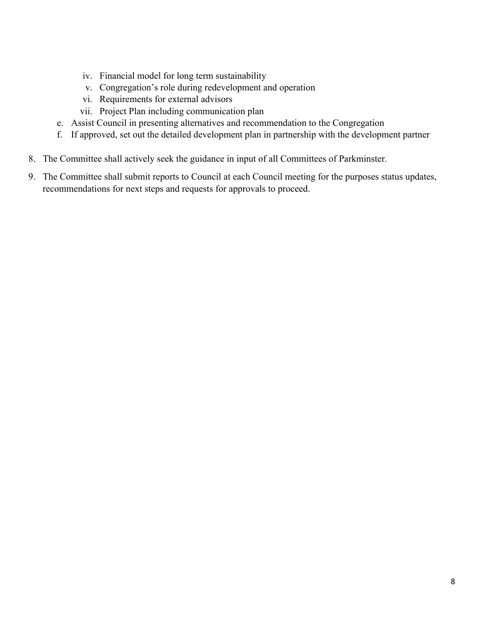- iv. Financial model for long term sustainability
- v. Congregation's role during redevelopment and operation
- vi. Requirements for external advisors
- vii. Project Plan including communication plan
- e. Assist Council in presenting alternatives and recommendation to the Congregation
- f. If approved, set out the detailed development plan in partnership with the development partner
- 8. The Committee shall actively seek the guidance in input of all Committees of Parkminster.
- 9. The Committee shall submit reports to Council at each Council meeting for the purposes status updates, recommendations for next steps and requests for approvals to proceed.